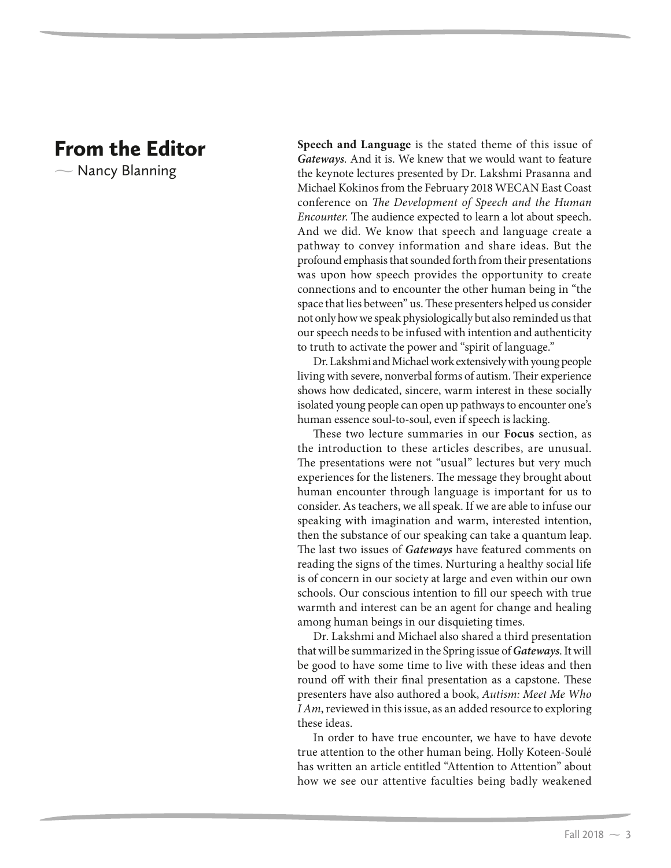## From the Editor

 $\overline{\phantom{0}}$ Nancy Blanning **Speech and Language** is the stated theme of this issue of **Gateways**. And it is. We knew that we would want to feature the keynote lectures presented by Dr. Lakshmi Prasanna and Michael Kokinos from the February 2018 WECAN East Coast conference on *The Development of Speech and the Human Encounter*. The audience expected to learn a lot about speech. And we did. We know that speech and language create a pathway to convey information and share ideas. But the profound emphasis that sounded forth from their presentations was upon how speech provides the opportunity to create connections and to encounter the other human being in "the space that lies between" us. These presenters helped us consider not only how we speak physiologically but also reminded us that our speech needs to be infused with intention and authenticity to truth to activate the power and "spirit of language."

Dr. Lakshmi and Michael work extensively with young people living with severe, nonverbal forms of autism. Their experience shows how dedicated, sincere, warm interest in these socially isolated young people can open up pathways to encounter one's human essence soul-to-soul, even if speech is lacking.

These two lecture summaries in our **Focus** section, as the introduction to these articles describes, are unusual. The presentations were not "usual" lectures but very much experiences for the listeners. The message they brought about human encounter through language is important for us to consider. As teachers, we all speak. If we are able to infuse our speaking with imagination and warm, interested intention, then the substance of our speaking can take a quantum leap. The last two issues of **Gateways** have featured comments on reading the signs of the times. Nurturing a healthy social life is of concern in our society at large and even within our own schools. Our conscious intention to fill our speech with true warmth and interest can be an agent for change and healing among human beings in our disquieting times.

Dr. Lakshmi and Michael also shared a third presentation that will be summarized in the Spring issue of **Gateways**. It will be good to have some time to live with these ideas and then round off with their final presentation as a capstone. These presenters have also authored a book, *Autism: Meet Me Who I Am*, reviewed in this issue, as an added resource to exploring these ideas.

In order to have true encounter, we have to have devote true attention to the other human being. Holly Koteen-Soulé has written an article entitled "Attention to Attention" about how we see our attentive faculties being badly weakened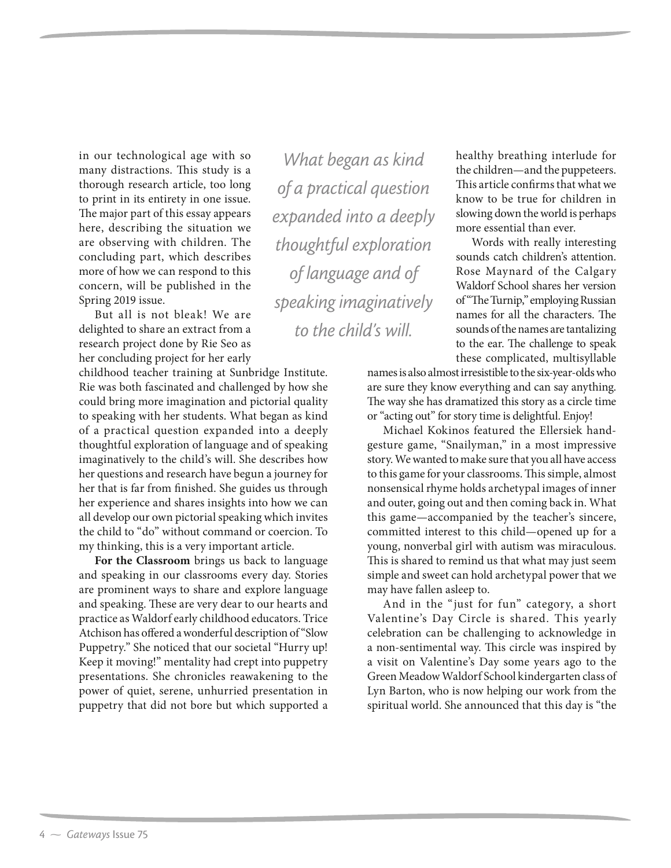in our technological age with so many distractions. This study is a thorough research article, too long to print in its entirety in one issue. The major part of this essay appears here, describing the situation we are observing with children. The concluding part, which describes more of how we can respond to this concern, will be published in the Spring 2019 issue.

But all is not bleak! We are delighted to share an extract from a research project done by Rie Seo as her concluding project for her early

childhood teacher training at Sunbridge Institute. Rie was both fascinated and challenged by how she could bring more imagination and pictorial quality to speaking with her students. What began as kind of a practical question expanded into a deeply thoughtful exploration of language and of speaking imaginatively to the child's will. She describes how her questions and research have begun a journey for her that is far from finished. She guides us through her experience and shares insights into how we can all develop our own pictorial speaking which invites the child to "do" without command or coercion. To my thinking, this is a very important article.

**For the Classroom** brings us back to language and speaking in our classrooms every day. Stories are prominent ways to share and explore language and speaking. These are very dear to our hearts and practice as Waldorf early childhood educators. Trice Atchison has offered a wonderful description of "Slow Puppetry." She noticed that our societal "Hurry up! Keep it moving!" mentality had crept into puppetry presentations. She chronicles reawakening to the power of quiet, serene, unhurried presentation in puppetry that did not bore but which supported a

*What began as kind of a practical question expanded into a deeply thoughtful exploration of language and of speaking imaginatively to the child's will.*

healthy breathing interlude for the children—and the puppeteers. This article confirms that what we know to be true for children in slowing down the world is perhaps more essential than ever.

Words with really interesting sounds catch children's attention. Rose Maynard of the Calgary Waldorf School shares her version of "The Turnip," employing Russian names for all the characters. The sounds of the names are tantalizing to the ear. The challenge to speak these complicated, multisyllable

names is also almost irresistible to the six-year-olds who are sure they know everything and can say anything. The way she has dramatized this story as a circle time or "acting out" for story time is delightful. Enjoy!

Michael Kokinos featured the Ellersiek handgesture game, "Snailyman," in a most impressive story. We wanted to make sure that you all have access to this game for your classrooms. This simple, almost nonsensical rhyme holds archetypal images of inner and outer, going out and then coming back in. What this game—accompanied by the teacher's sincere, committed interest to this child—opened up for a young, nonverbal girl with autism was miraculous. This is shared to remind us that what may just seem simple and sweet can hold archetypal power that we may have fallen asleep to.

And in the "just for fun" category, a short Valentine's Day Circle is shared. This yearly celebration can be challenging to acknowledge in a non-sentimental way. This circle was inspired by a visit on Valentine's Day some years ago to the Green Meadow Waldorf School kindergarten class of Lyn Barton, who is now helping our work from the spiritual world. She announced that this day is "the